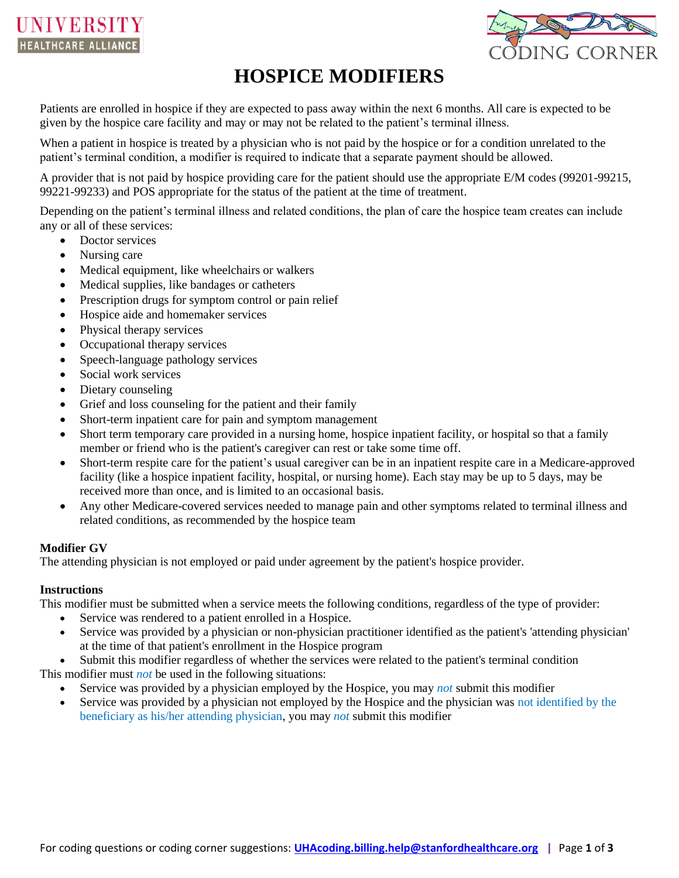



# **HOSPICE MODIFIERS**

Patients are enrolled in hospice if they are expected to pass away within the next 6 months. All care is expected to be given by the hospice care facility and may or may not be related to the patient's terminal illness.

When a patient in hospice is treated by a physician who is not paid by the hospice or for a condition unrelated to the patient's terminal condition, a modifier is required to indicate that a separate payment should be allowed.

A provider that is not paid by hospice providing care for the patient should use the appropriate E/M codes (99201-99215, 99221-99233) and POS appropriate for the status of the patient at the time of treatment.

Depending on the patient's terminal illness and related conditions, the plan of care the hospice team creates can include any or all of these services:

- Doctor services
- Nursing care
- Medical equipment, like wheelchairs or walkers
- Medical supplies, like bandages or catheters
- Prescription drugs for symptom control or pain relief
- Hospice aide and homemaker services
- Physical therapy services
- Occupational therapy services
- Speech-language pathology services
- Social work services
- Dietary counseling
- Grief and loss counseling for the patient and their family
- Short-term inpatient care for pain and symptom management
- Short term temporary care provided in a nursing home, hospice inpatient facility, or hospital so that a family member or friend who is the patient's caregiver can rest or take some time off.
- Short-term respite care for the patient's usual caregiver can be in an inpatient respite care in a Medicare-approved facility (like a hospice inpatient facility, hospital, or nursing home). Each stay may be up to 5 days, may be received more than once, and is limited to an occasional basis.
- Any other Medicare-covered services needed to manage pain and other symptoms related to terminal illness and related conditions, as recommended by the hospice team

## **Modifier GV**

The attending physician is not employed or paid under agreement by the patient's hospice provider.

## **Instructions**

This modifier must be submitted when a service meets the following conditions, regardless of the type of provider:

- Service was rendered to a patient enrolled in a Hospice.
- Service was provided by a physician or non-physician practitioner identified as the patient's 'attending physician' at the time of that patient's enrollment in the Hospice program
- Submit this modifier regardless of whether the services were related to the patient's terminal condition This modifier must *not* be used in the following situations:
	- Service was provided by a physician employed by the Hospice, you may *not* submit this modifier
		- Service was provided by a physician not employed by the Hospice and the physician was not identified by the beneficiary as his/her attending physician, you may *not* submit this modifier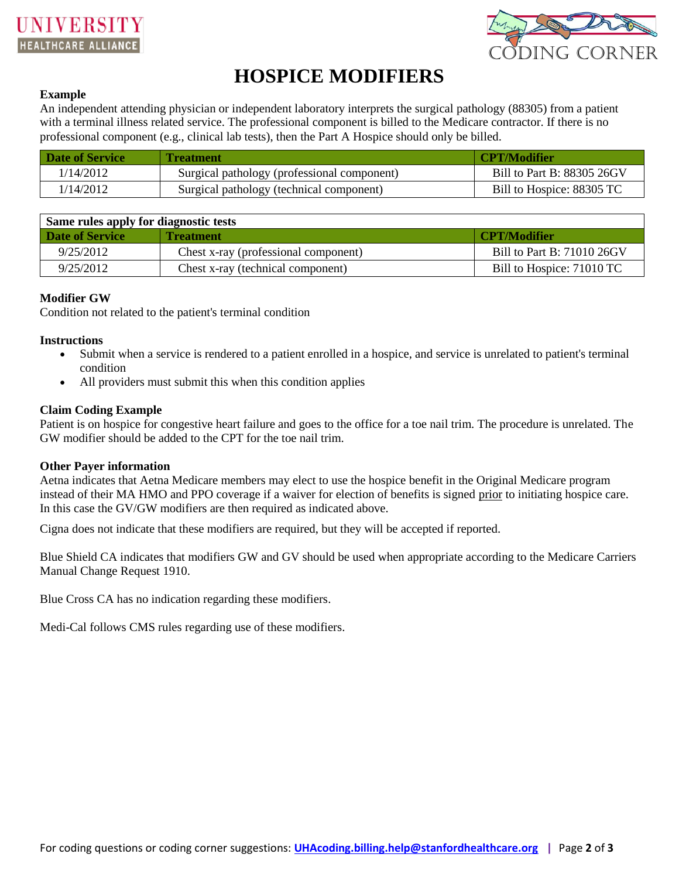



# **HOSPICE MODIFIERS**

#### **Example**

An independent attending physician or independent laboratory interprets the surgical pathology (88305) from a patient with a terminal illness related service. The professional component is billed to the Medicare contractor. If there is no professional component (e.g., clinical lab tests), then the Part A Hospice should only be billed.

| Date of Service | <b>Treatment</b>                            | CPT/Modifier               |
|-----------------|---------------------------------------------|----------------------------|
| 1/14/2012       | Surgical pathology (professional component) | Bill to Part B: 88305 26GV |
| /14/2012        | Surgical pathology (technical component)    | Bill to Hospice: 88305 TC  |

| Same rules apply for diagnostic tests |                                      |                            |  |  |  |  |
|---------------------------------------|--------------------------------------|----------------------------|--|--|--|--|
| <b>Date of Service</b>                | <b>Treatment</b>                     | <b>CPT/Modifier/</b>       |  |  |  |  |
| 9/25/2012                             | Chest x-ray (professional component) | Bill to Part B: 71010 26GV |  |  |  |  |
| 9/25/2012                             | Chest x-ray (technical component)    | Bill to Hospice: 71010 TC  |  |  |  |  |

# **Modifier GW**

Condition not related to the patient's terminal condition

#### **Instructions**

- Submit when a service is rendered to a patient enrolled in a hospice, and service is unrelated to patient's terminal condition
- All providers must submit this when this condition applies

## **Claim Coding Example**

Patient is on hospice for congestive heart failure and goes to the office for a toe nail trim. The procedure is unrelated. The GW modifier should be added to the CPT for the toe nail trim.

## **Other Payer information**

Aetna indicates that Aetna Medicare members may elect to use the hospice benefit in the Original Medicare program instead of their MA HMO and PPO coverage if a waiver for election of benefits is signed prior to initiating hospice care. In this case the GV/GW modifiers are then required as indicated above.

Cigna does not indicate that these modifiers are required, but they will be accepted if reported.

Blue Shield CA indicates that modifiers GW and GV should be used when appropriate according to the Medicare Carriers Manual Change Request 1910.

Blue Cross CA has no indication regarding these modifiers.

Medi-Cal follows CMS rules regarding use of these modifiers.